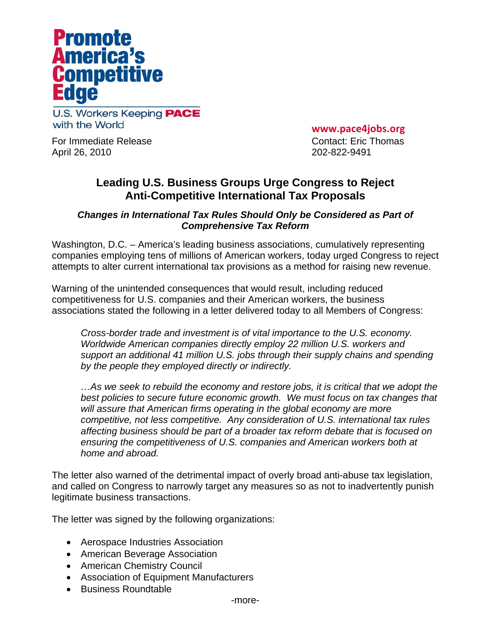

**U.S. Workers Keeping PACE** with the World

For Immediate Release Contact: Eric Thomas April 26, 2010 202-822-9491

**www.pace4jobs.org**

## **Leading U.S. Business Groups Urge Congress to Reject Anti-Competitive International Tax Proposals**

## *Changes in International Tax Rules Should Only be Considered as Part of Comprehensive Tax Reform*

Washington, D.C. – America's leading business associations, cumulatively representing companies employing tens of millions of American workers, today urged Congress to reject attempts to alter current international tax provisions as a method for raising new revenue.

Warning of the unintended consequences that would result, including reduced competitiveness for U.S. companies and their American workers, the business associations stated the following in a letter delivered today to all Members of Congress:

*Cross-border trade and investment is of vital importance to the U.S. economy. Worldwide American companies directly employ 22 million U.S. workers and support an additional 41 million U.S. jobs through their supply chains and spending by the people they employed directly or indirectly.* 

*…As we seek to rebuild the economy and restore jobs, it is critical that we adopt the best policies to secure future economic growth. We must focus on tax changes that will assure that American firms operating in the global economy are more competitive, not less competitive. Any consideration of U.S. international tax rules affecting business should be part of a broader tax reform debate that is focused on ensuring the competitiveness of U.S. companies and American workers both at home and abroad.* 

The letter also warned of the detrimental impact of overly broad anti-abuse tax legislation, and called on Congress to narrowly target any measures so as not to inadvertently punish legitimate business transactions.

The letter was signed by the following organizations:

- Aerospace Industries Association
- American Beverage Association
- American Chemistry Council
- Association of Equipment Manufacturers
- Business Roundtable